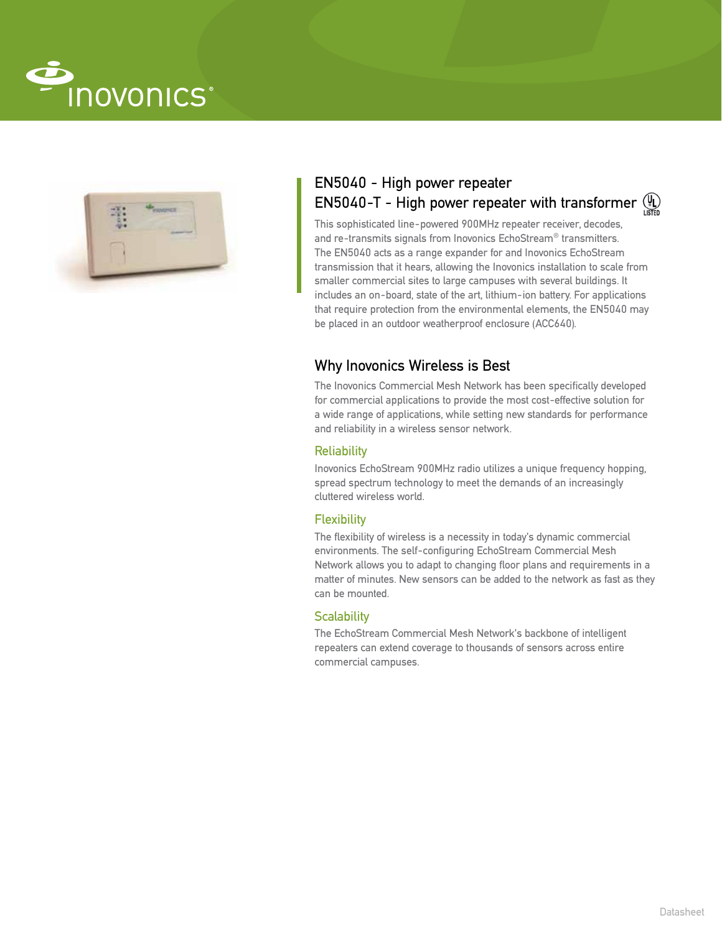



# EN5040 - High power repeater EN5040-T - High power repeater with transformer  $\mathcal{H}_{\mathbb{Z}}$

This sophisticated line-powered 900MHz repeater receiver, decodes, and re-transmits signals from Inovonics EchoStream® transmitters. The EN5040 acts as a range expander for and Inovonics EchoStream transmission that it hears, allowing the Inovonics installation to scale from smaller commercial sites to large campuses with several buildings. It includes an on-board, state of the art, lithium-ion battery. For applications that require protection from the environmental elements, the EN5040 may be placed in an outdoor weatherproof enclosure (ACC640).

## Why Inovonics Wireless is Best

The Inovonics Commercial Mesh Network has been specifically developed for commercial applications to provide the most cost-effective solution for a wide range of applications, while setting new standards for performance and reliability in a wireless sensor network.

### **Reliability**

Inovonics EchoStream 900MHz radio utilizes a unique frequency hopping, spread spectrum technology to meet the demands of an increasingly cluttered wireless world.

### **Flexibility**

The flexibility of wireless is a necessity in today's dynamic commercial environments. The self-configuring EchoStream Commercial Mesh Network allows you to adapt to changing floor plans and requirements in a matter of minutes. New sensors can be added to the network as fast as they can be mounted.

### **Scalability**

The EchoStream Commercial Mesh Network's backbone of intelligent repeaters can extend coverage to thousands of sensors across entire commercial campuses.